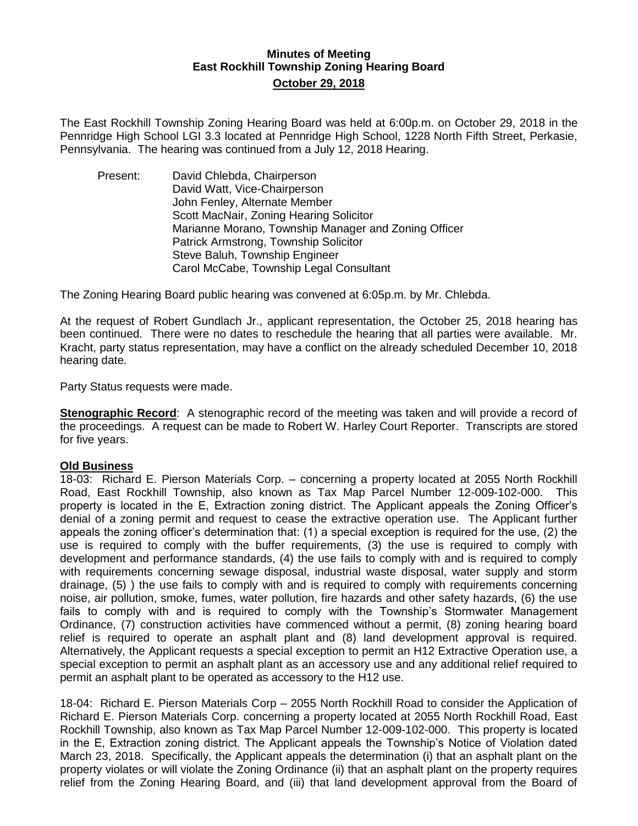## **Minutes of Meeting East Rockhill Township Zoning Hearing Board October 29, 2018**

The East Rockhill Township Zoning Hearing Board was held at 6:00p.m. on October 29, 2018 in the Pennridge High School LGI 3.3 located at Pennridge High School, 1228 North Fifth Street, Perkasie, Pennsylvania. The hearing was continued from a July 12, 2018 Hearing.

Present: David Chlebda, Chairperson David Watt, Vice-Chairperson John Fenley, Alternate Member Scott MacNair, Zoning Hearing Solicitor Marianne Morano, Township Manager and Zoning Officer Patrick Armstrong, Township Solicitor Steve Baluh, Township Engineer Carol McCabe, Township Legal Consultant

The Zoning Hearing Board public hearing was convened at 6:05p.m. by Mr. Chlebda.

At the request of Robert Gundlach Jr., applicant representation, the October 25, 2018 hearing has been continued. There were no dates to reschedule the hearing that all parties were available. Mr. Kracht, party status representation, may have a conflict on the already scheduled December 10, 2018 hearing date.

Party Status requests were made.

**Stenographic Record:** A stenographic record of the meeting was taken and will provide a record of the proceedings. A request can be made to Robert W. Harley Court Reporter. Transcripts are stored for five years.

#### **Old Business**

18-03: Richard E. Pierson Materials Corp. – concerning a property located at 2055 North Rockhill Road, East Rockhill Township, also known as Tax Map Parcel Number 12-009-102-000. This property is located in the E, Extraction zoning district. The Applicant appeals the Zoning Officer's denial of a zoning permit and request to cease the extractive operation use. The Applicant further appeals the zoning officer's determination that: (1) a special exception is required for the use, (2) the use is required to comply with the buffer requirements, (3) the use is required to comply with development and performance standards, (4) the use fails to comply with and is required to comply with requirements concerning sewage disposal, industrial waste disposal, water supply and storm drainage, (5) ) the use fails to comply with and is required to comply with requirements concerning noise, air pollution, smoke, fumes, water pollution, fire hazards and other safety hazards, (6) the use fails to comply with and is required to comply with the Township's Stormwater Management Ordinance, (7) construction activities have commenced without a permit, (8) zoning hearing board relief is required to operate an asphalt plant and (8) land development approval is required. Alternatively, the Applicant requests a special exception to permit an H12 Extractive Operation use, a special exception to permit an asphalt plant as an accessory use and any additional relief required to permit an asphalt plant to be operated as accessory to the H12 use.

18-04: Richard E. Pierson Materials Corp – 2055 North Rockhill Road to consider the Application of Richard E. Pierson Materials Corp. concerning a property located at 2055 North Rockhill Road, East Rockhill Township, also known as Tax Map Parcel Number 12-009-102-000. This property is located in the E, Extraction zoning district. The Applicant appeals the Township's Notice of Violation dated March 23, 2018. Specifically, the Applicant appeals the determination (i) that an asphalt plant on the property violates or will violate the Zoning Ordinance (ii) that an asphalt plant on the property requires relief from the Zoning Hearing Board, and (iii) that land development approval from the Board of